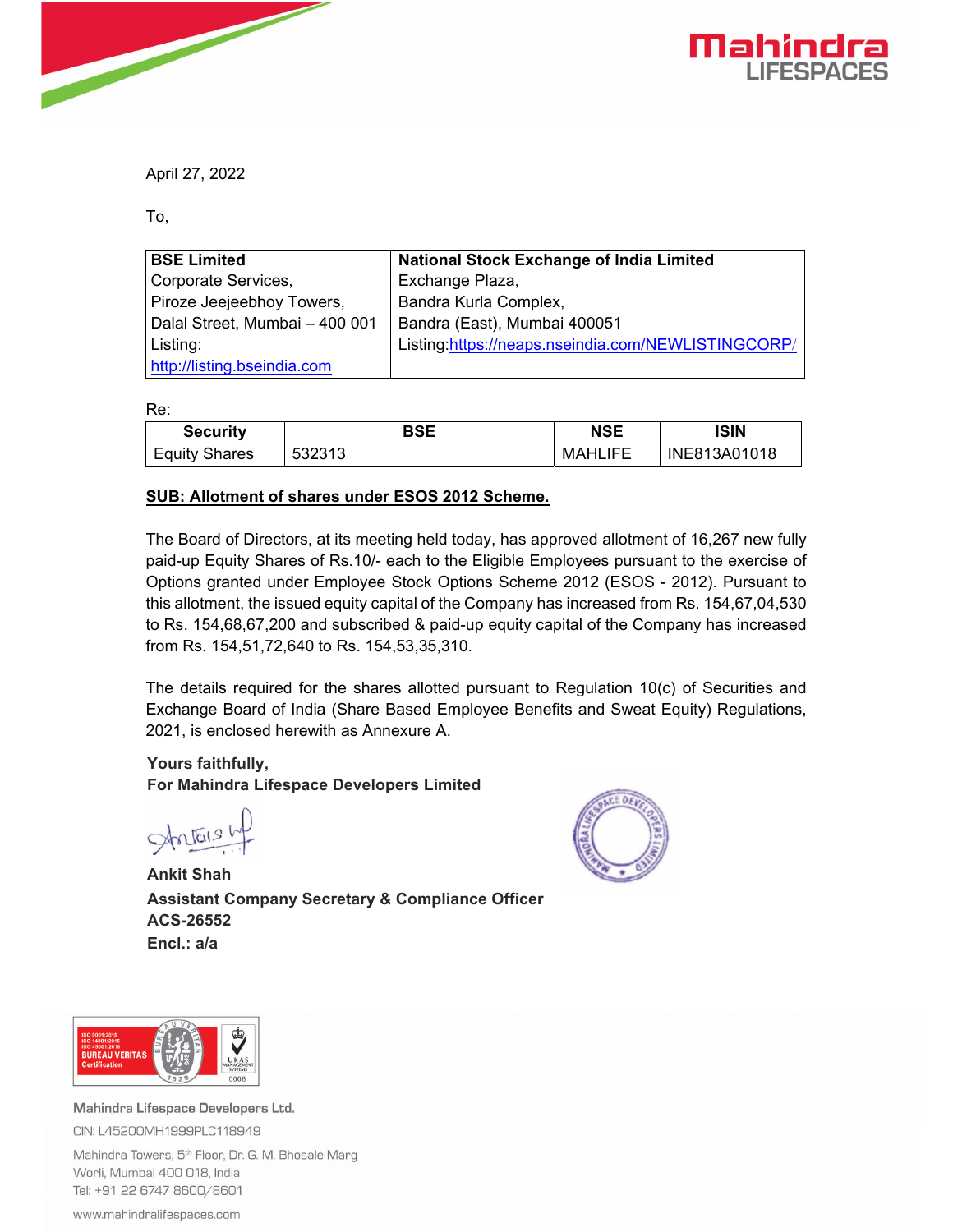

April 27, 2022

To,

| <b>BSE Limited</b>             | <b>National Stock Exchange of India Limited</b>    |
|--------------------------------|----------------------------------------------------|
| Corporate Services,            | Exchange Plaza,                                    |
| Piroze Jeejeebhoy Towers,      | Bandra Kurla Complex,                              |
| Dalal Street, Mumbai - 400 001 | Bandra (East), Mumbai 400051                       |
| Listing:                       | Listing:https://neaps.nseindia.com/NEWLISTINGCORP/ |
| http://listing.bseindia.com    |                                                    |

Re:

| <b>Security</b>      | <b>BSE</b> | <b>NSE</b>     | <b>ISIN</b>  |
|----------------------|------------|----------------|--------------|
| <b>Equity Shares</b> | 532313     | <b>MAHLIFE</b> | INE813A01018 |

## **SUB: Allotment of shares under ESOS 2012 Scheme.**

The Board of Directors, at its meeting held today, has approved allotment of 16,267 new fully paid-up Equity Shares of Rs.10/- each to the Eligible Employees pursuant to the exercise of Options granted under Employee Stock Options Scheme 2012 (ESOS - 2012). Pursuant to this allotment, the issued equity capital of the Company has increased from Rs. 154,67,04,530 to Rs. 154,68,67,200 and subscribed & paid-up equity capital of the Company has increased from Rs. 154,51,72,640 to Rs. 154,53,35,310.

The details required for the shares allotted pursuant to Regulation 10(c) of Securities and Exchange Board of India (Share Based Employee Benefits and Sweat Equity) Regulations, 2021, is enclosed herewith as Annexure A.

**Yours faithfully, For Mahindra Lifespace Developers Limited** 

Antaise

**Ankit Shah Assistant Company Secretary & Compliance Officer ACS-26552 Encl.: a/a** 



Mahindra Lifespace Developers Ltd. CIN: L45200MH1999PLC118949

Mahindra Towers, 5<sup>th</sup> Floor, Dr. G. M. Bhosale Marg Worli, Mumbai 400 018, India Tel: +91 22 6747 8600/8601

www.mahindralifespaces.com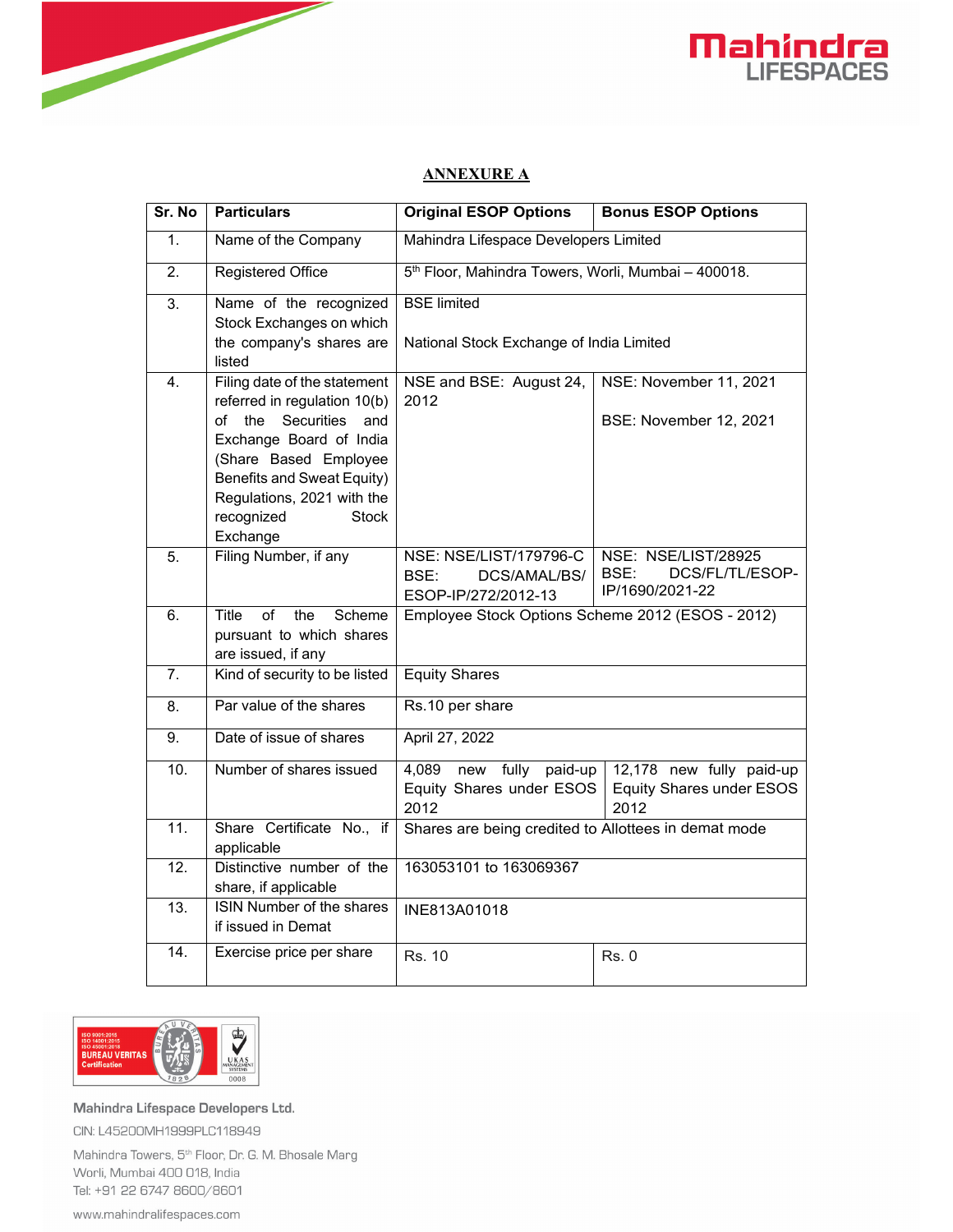



## **ANNEXURE A**

| Sr. No           | <b>Particulars</b>                                                                                                                                                                                                                                    | <b>Original ESOP Options</b>                                          | <b>Bonus ESOP Options</b>                                         |
|------------------|-------------------------------------------------------------------------------------------------------------------------------------------------------------------------------------------------------------------------------------------------------|-----------------------------------------------------------------------|-------------------------------------------------------------------|
| $\overline{1}$ . | Name of the Company                                                                                                                                                                                                                                   | Mahindra Lifespace Developers Limited                                 |                                                                   |
| $\overline{2}$ . | Registered Office                                                                                                                                                                                                                                     | 5 <sup>th</sup> Floor, Mahindra Towers, Worli, Mumbai - 400018.       |                                                                   |
| $\overline{3}$ . | Name of the recognized<br>Stock Exchanges on which<br>the company's shares are<br>listed                                                                                                                                                              | <b>BSE</b> limited<br>National Stock Exchange of India Limited        |                                                                   |
| 4.               | Filing date of the statement<br>referred in regulation 10(b)<br>Securities<br>of the<br>and<br>Exchange Board of India<br>(Share Based Employee<br>Benefits and Sweat Equity)<br>Regulations, 2021 with the<br>recognized<br><b>Stock</b><br>Exchange | NSE and BSE: August 24,<br>2012                                       | NSE: November 11, 2021<br>BSE: November 12, 2021                  |
| $\overline{5}$ . | Filing Number, if any                                                                                                                                                                                                                                 | NSE: NSE/LIST/179796-C<br>BSE:<br>DCS/AMAL/BS/<br>ESOP-IP/272/2012-13 | NSE: NSE/LIST/28925<br>BSE:<br>DCS/FL/TL/ESOP-<br>IP/1690/2021-22 |
| 6.               | <b>Title</b><br>the<br>Scheme<br>of<br>pursuant to which shares<br>are issued, if any                                                                                                                                                                 | Employee Stock Options Scheme 2012 (ESOS - 2012)                      |                                                                   |
| 7.               | Kind of security to be listed                                                                                                                                                                                                                         | <b>Equity Shares</b>                                                  |                                                                   |
| 8.               | Par value of the shares                                                                                                                                                                                                                               | Rs.10 per share                                                       |                                                                   |
| 9.               | Date of issue of shares                                                                                                                                                                                                                               | April 27, 2022                                                        |                                                                   |
| 10.              | Number of shares issued                                                                                                                                                                                                                               | new fully<br>4,089<br>paid-up<br>Equity Shares under ESOS<br>2012     | 12,178 new fully paid-up<br>Equity Shares under ESOS<br>2012      |
| 11.              | Share Certificate No., if<br>applicable                                                                                                                                                                                                               | Shares are being credited to Allottees in demat mode                  |                                                                   |
| 12.              | Distinctive number of the<br>share, if applicable                                                                                                                                                                                                     | 163053101 to 163069367                                                |                                                                   |
| 13.              | ISIN Number of the shares<br>if issued in Demat                                                                                                                                                                                                       | INE813A01018                                                          |                                                                   |
| 14.              | Exercise price per share                                                                                                                                                                                                                              | Rs. 10                                                                | <b>Rs. 0</b>                                                      |



Mahindra Lifespace Developers Ltd. CIN: L45200MH1999PLC118949

Mahindra Towers, 5<sup>th</sup> Floor, Dr. G. M. Bhosale Marg Worli, Mumbai 400 018, India Tel: +91 22 6747 8600/8601

www.mahindralifespaces.com